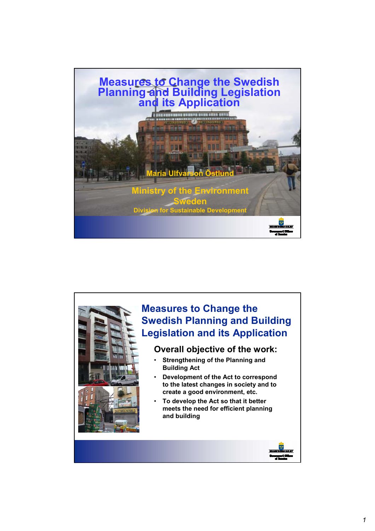

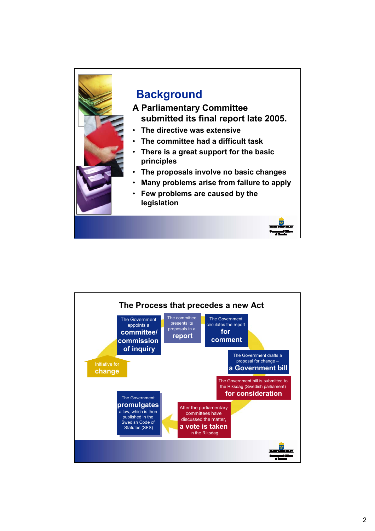

## **Background**

- **A Parliamentary Committee submitted its final report late 2005.**
- **The directive was extensive**
- **The committee had a difficult task**
- **There is a great support for the basic principles**
- **The proposals involve no basic changes**
- **Many problems arise from failure to apply**
- **Few problems are caused by the legislation**

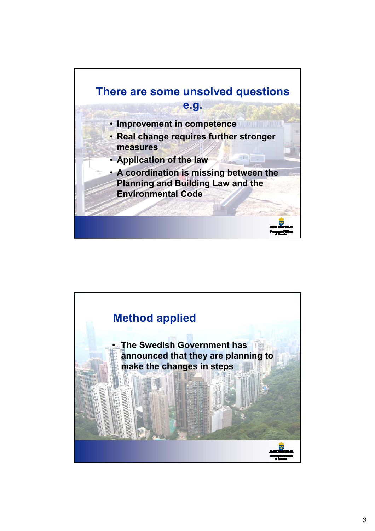